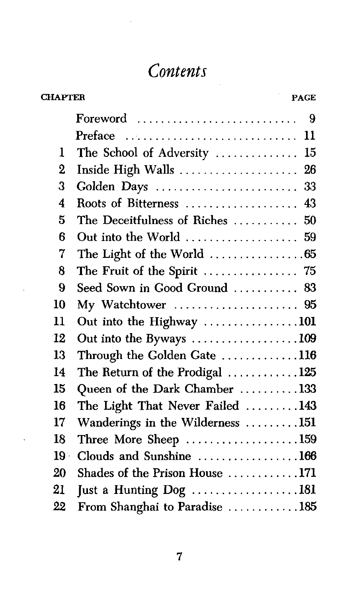## *Contents*

| <b>CHAPTER</b><br><b>PAGE</b> |                                   |
|-------------------------------|-----------------------------------|
|                               | $\mathbf{For} \mathbf{word}$<br>9 |
|                               | Preface<br>11                     |
| 1                             | 15<br>The School of Adversity     |
| $\mathbf{2}$                  | Inside High Walls<br>26           |
| 3                             | Golden Days<br>33                 |
| 4                             | Roots of Bitterness<br>43         |
| 5                             | The Deceitfulness of Riches  50   |
| 6                             | Out into the World  59            |
| 7                             | The Light of the World 65         |
| 8                             | The Fruit of the Spirit  75       |
| 9                             | Seed Sown in Good Ground  83      |
| 10                            | My Watchtower  95                 |
| 11                            | Out into the Highway 101          |
| -12                           | Out into the Byways 109           |
| 13                            | Through the Golden Gate 116       |
| 14                            | The Return of the Prodigal 125    |
| 15                            | Queen of the Dark Chamber 133     |
| 16                            | The Light That Never Failed 143   |
| 17                            | Wanderings in the Wilderness 151  |
| 18                            | Three More Sheep 159              |
| 19.                           | Clouds and Sunshine 166           |
| 20                            | Shades of the Prison House 171    |
| 21                            | Just a Hunting Dog 181            |
| 22                            | From Shanghai to Paradise 185     |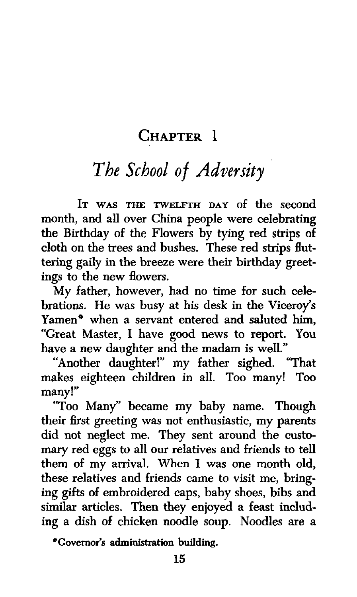## CHAPTER 1

## <span id="page-1-0"></span>*The School of Adversity*

IT WAS THE TWELFTH DAY of the second month, and all over China people were celebrating the Birthday of the Flowers by tying red strips of cloth on the trees and bushes. These red strips fluttering gaily in the breeze were their birthday greetings to the new flowers.

My father, however, had no time for such celebrations. He was busy at his desk in the Viceroy's Yamen\* when a servant entered and saluted him, "Great Master, I have good news to report. You have a new daughter and the madam is well."

"Another daughter!" my father sighed. "That makes eighteen children in all. Too many! Too many!"

"Too Many" became my baby name. Though their first greeting was not enthusiastic, my parents did not neglect me. They sent around the customary red eggs to all our relatives and friends to tell them of my arrival. When I was one month old, these relatives and friends came to visit me, bringing gifts of embroidered caps, baby shoes, bibs and similar articles. Then they enjoyed a feast including a dish of chicken noodle soup. Noodles are a

°Govemor's administration building.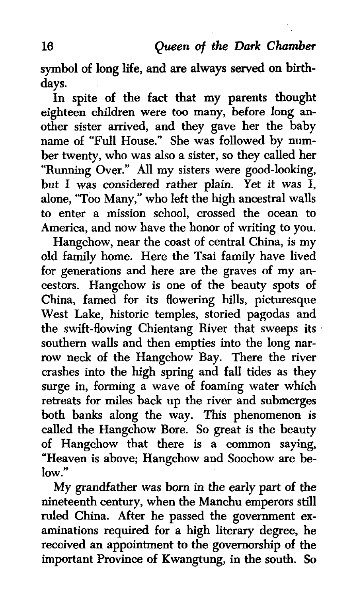symbol of long life, and are always served on birthdays.

In spite of the fact that my parents thought eighteen children were too many, before long another sister arrived, and they gave her the baby name of "Full House." She was followed by number twenty, who was also a sister, so they called her "Running Over." All my sisters were good-looking, but I was considered rather plain. Yet it was I, alone, "Too Many," who left the high ancestral walls to enter a mission school, crossed the ocean to America, and now have the honor of writing to you.

Hangchow, near the coast of central China, is my old family home. Here the Tsai family have lived for generations and here are the graves of my ancestors. Hangchow is one of the beauty spots of China, famed for its Howering hills, picturesque West Lake, historic temples, storied pagodas and the swift-Howing Chientang River that sweeps its· southern walls and then empties into the long narrow neck of the Hangchow Bay. There the river crashes into the high spring and fall tides as they surge in, forming a wave of foaming water which retreats for miles back up the river and submerges both banks along the way. This phenomenon is called the Hangchow Bore. So great is the beauty of Hangchow that there is a common saying, "Heaven is above; Hangchow and Soochow are below."

My grandfather was horn in the early part of the nineteenth century, when the Manchu emperors still ruled China. After he passed the government examinations required for a high literary degree, he received an appointment to the governorship of the important Province of Kwangtung, in the south. So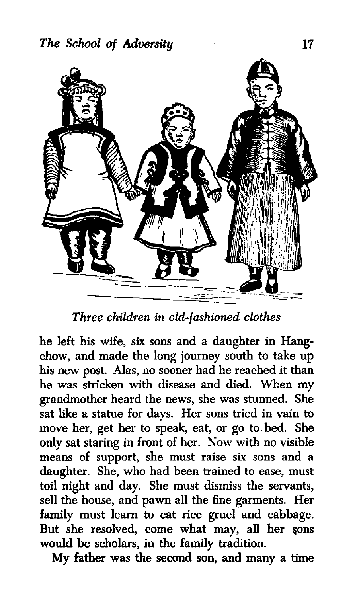

*Three children in old-fashioned clothes* 

he left his wife, six sons and a daughter in Hangchow, and made the long journey south to take up his new post. Alas, no sooner had he reached it than he was stricken with disease and died. When my grandmother heard the news, she was stunned. She sat like a statue for days. Her sons tried in vain to move her, get her to speak, eat, or go to bed. She only sat staring in front of her. Now with no visible means of support, she must raise six sons and a daughter. She, who had been trained to ease, must toil night and day. She must dismiss the servants, sell the house, and pawn all the fine garments. Her family must learn to eat rice gruel and cabbage. But she resolved, come what may, all her sons would be scholars, in the family tradition.

My father was the second son, and many a time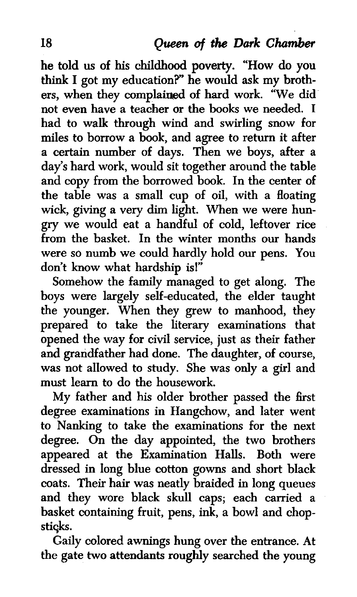he told us of his childhood poverty. "How do you think I got my education?" he would ask my brothers, when they complained of hard work. "We did not even have a teacher or the books we needed. I had to walk through wind and swirling snow for miles to borrow a book, and agree to return it after a certain number of days. Then we boys, after a day's hard work, would sit together around the table and copy from the borrowed book. In the center of the table was a small cup of oil, with a floating wick, giving a very dim light. When we were hungry we would eat a handful of cold, leftover rice from the basket. In the winter months our hands were so numb we could hardly hold our pens. You don't know what hardship isl"

Somehow the family managed to get along. The boys were largely self-educated, the elder taught the younger. When they grew to manhood, they prepared to take the literary examinations that opened the way for civil service, just as their father and grandfather had done. The daughter, of course, was not allowed to study. She was only a girl and must learn to do the housework.

My father and his older brother passed the first degree examinations in Hangchow, and later went to Nanking to take the examinations for the next degree. On the day appointed, the two brothers appeared at the Examination Halls. Both were dressed in long blue cotton gowns and short black coats. Their hair was neatly braided in long queues and they wore black skull caps; each carried a basket containing fruit, pens, ink, a bowl and chopsticks.

Gaily colored awnings hung over the entrance. At the gate two attendants roughly searched the young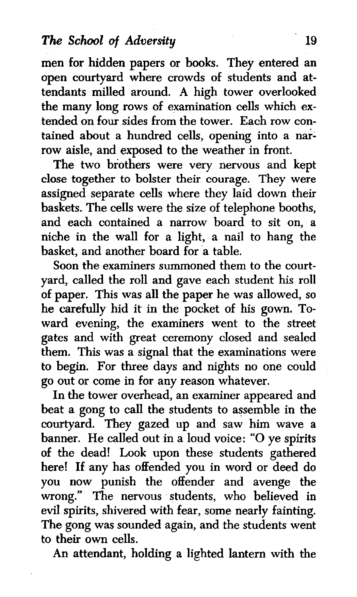men for hidden papers or books. They entered an open courtyard where crowds of students and attendants milled around. A high tower overlooked the many long rows of examination cells which extended on four sides from the tower. Each row contained about a hundred cells, opening into a narrow aisle, and exposed to the weather in front.

The two brothers were very nervous and kept close together to bolster their courage. They were assigned separate cells where they laid down their baskets. The cells were the size of telephone booths, and each contained a narrow board to sit on, a niche in the wall for a light, a nail to hang the basket, and another board for a table.

Soon the examiners summoned them to the courtyard, called the roll and gave each student his roll of paper. This was all the paper he was allowed, so he carefully hid it in the pocket of his gown. Toward evening, the examiners went to the street gates and with great ceremony closed and sealed them. This was a signal that the examinations were to begin. For three days and nights no one could go out or come in for any reason whatever.

In the tower overhead, an examiner appeared and beat a gong to call the students to assemble in the courtyard. They gazed up and saw him wave a banner. He called out in a loud voice: "O ye spirits of the dead! Look upon these students gathered here! If any has offended you in word or deed do you now punish the offender and avenge the wrong." The nervous students, who believed in evil spirits, shivered with fear, some nearly fainting. The gong was sounded again, and the students went to their own cells.

An attendant, holding a lighted lantern with the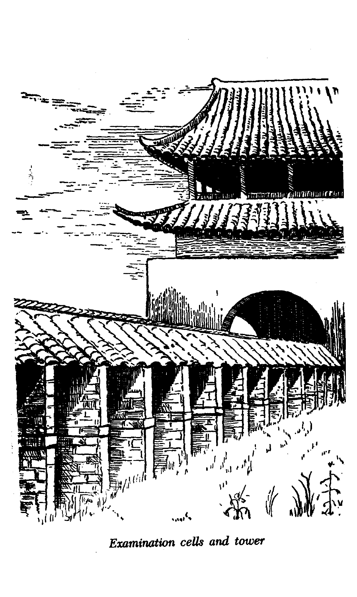

Examination cells and tower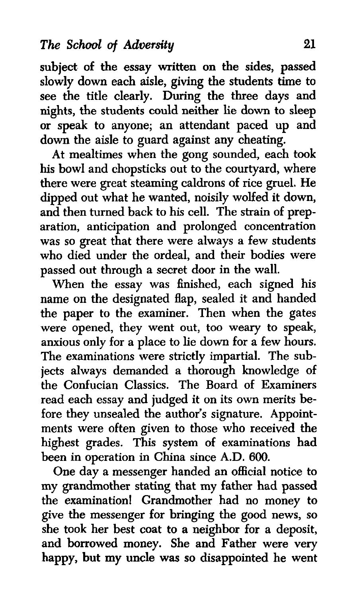subject of the essay written on the sides, passed slowly down each aisle, giving the students time to see the title clearly. During the three days and nights, the students could neither lie down to sleep or speak to anyone; an attendant paced up and down the aisle to guard against any cheating.

At mealtimes when the gong sounded, each took his bowl and chopsticks out to the courtyard, where there were great steaming caldrons of rice gruel. He dipped out what he wanted, noisily wolfed it down, and then turned back to his cell. The strain of preparation, anticipation and prolonged concentration was so great that there were always a few students who died under the ordeal, and their bodies were passed out through a secret door in the wall.

When the essay was finished, each signed his name on the designated flap, sealed it and handed the paper to the examiner. Then when the gates were opened, they went out, too weary to speak, anxious only for a place to lie down for a few hours. The examinations were strictly impartial. The subjects always demanded a thorough knowledge of the Confucian Classics. The Board of Examiners read each essay and judged it on its own merits before they unsealed the author's signature. Appointments were often given to those who received the highest grades. This system of examinations had been in operation in China since A.D. 600.

One day a messenger handed an official notice to my grandmother stating that my father had passed the examination! Grandmother had no money to give the messenger for bringing the good news, so she took her best coat to a neighbor for a deposit, and borrowed money. She and Father were very happy, but my uncle was so disappointed he went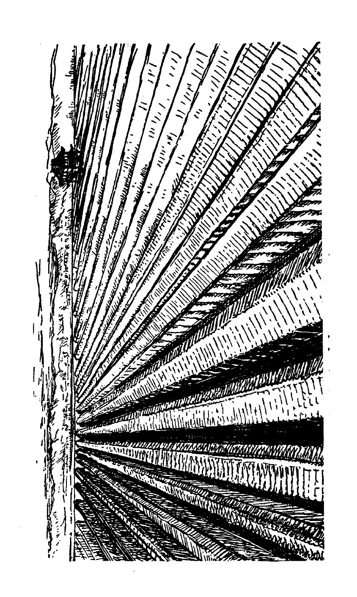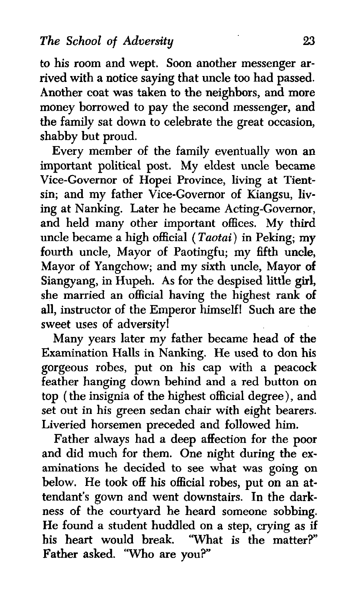to his room and wept. Soon another messenger arrived with a notice saying that uncle too had passed. Another coat was taken to the neighbors, and more money borrowed to pay the second messenger, and the family sat down to celebrate the great occasion, shabby but proud.

Every member of the family eventually won an important political post. My eldest uncle became Vice-Governor of Hopei Province, living at Tientsin; and my father Vice-Governor of Kiangsu, living at Nanking. Later he became Acting-Governor, and held many other important offices. My third uncle became a high official *(Taotai)* in Peking; my fourth uncle, Mayor of Paotingfu; my fifth uncle, Mayor of Yangchow; and my sixth uncle, Mayor of Siangyang, in Hupeh. As for the despised little girl, she married an official having the highest rank of all, instructor of the Emperor himself! Such are the sweet uses of adversity!

Many years later my father became head of the Examination Halls in Nanking. He used to don his gorgeous robes, put on his cap with a peacock feather hanging down behind and a red button on top (the insignia of the highest official degree), and set out in his green sedan chair with eight bearers. Liveried horsemen preceded and followed him.

Father always had a deep affection for the poor and did much for them. One night during the examinations he decided to see what was going on below. He took off his official robes, put on an attendant's gown and went downstairs. **In** the darkness of the courtyard he heard someone sobbing. He found a student huddled on a step, crying as if<br>his heart would break. "What is the matter?" his heart would break. Father asked. "Who are you?"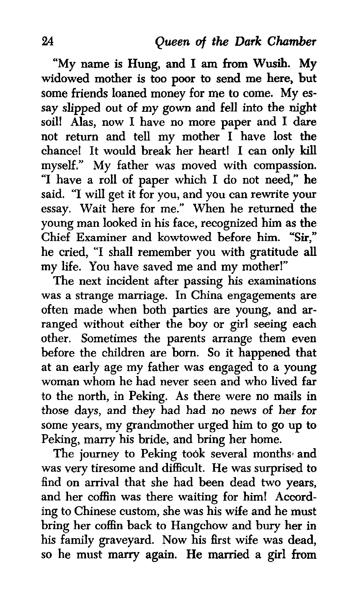"My name is Hung, and 1 am from Wusih. My widowed mother is too poor to send me here, but some friends loaned money for me to come. Myessay slipped out of my gown and fell into the night soil! Alas, now 1 have no more paper and 1 dare not return and tell my mother 1 have lost the chance! It would break her heart! 1 can only kill myself." My father was moved with compassion. "I have a roll of paper which 1 do not need," he said. "I will get it for you, and you can rewrite your essay. Wait here for me." When he returned the young man looked in his face, recognized him as the Chief Examiner and kowtowed before him. "Sir," he cried, "I shall remember you with gratitude all my life. You have saved me and my mother!"

The next incident after passing his examinations was a strange marriage. In China engagements are often made when both parties are young, and arranged without either the boy or girl seeing each other. Sometimes the parents arrange them even before the children are born. So it happened that at an early age my father was engaged to a young woman whom he had never seen and who lived far to the north, in Peking. As there were no mails in those days, and they had had no news of her for some years, my grandmother urged him to go up to Peking, marry his bride, and bring her home.

The journey to Peking took several months and was very tiresome and difficult. He was surprised to find on arrival that she had been dead two years, and her coffin was there waiting for him! According to Chinese custom, she was his wife and he must bring her coffin back to Hangchow and bury her in his family graveyard. Now his first wife was dead, so he must marry again. He married a girl from